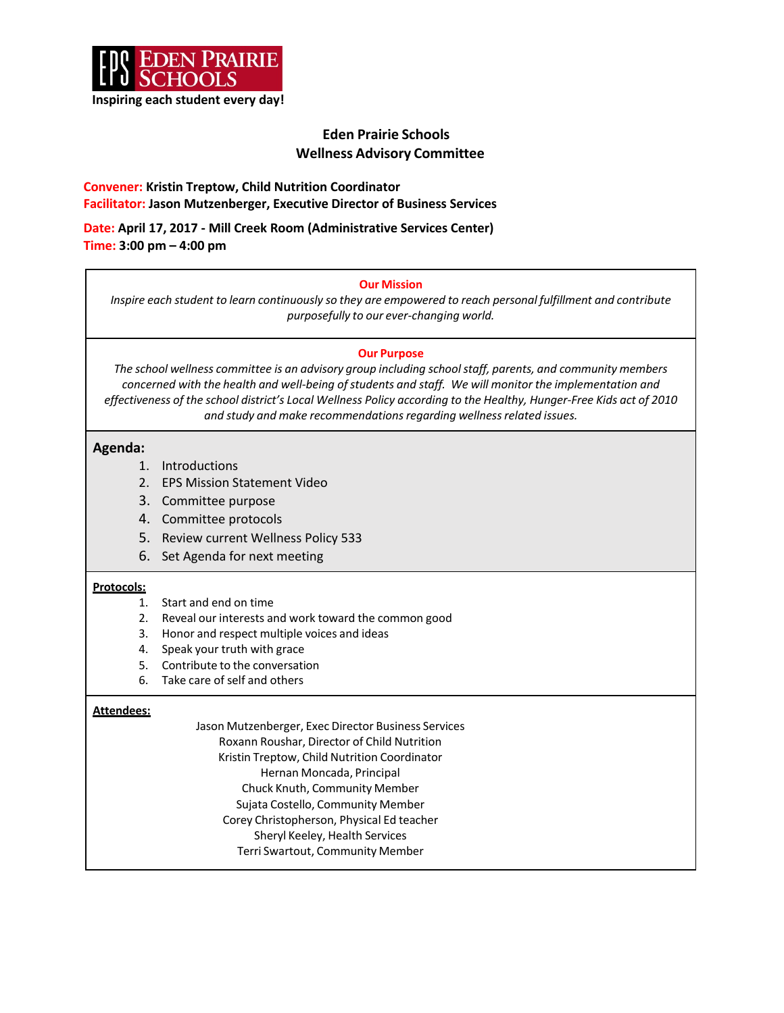

# **Eden Prairie Schools Wellness Advisory Committee**

## **Convener: Kristin Treptow, Child Nutrition Coordinator Facilitator: Jason Mutzenberger, Executive Director of Business Services**

**Date: April 17, 2017 - Mill Creek Room (Administrative Services Center) Time: 3:00 pm – 4:00 pm**

#### **Our Mission**

*Inspire each student to learn continuously so they are empowered to reach personal fulfillment and contribute purposefully to our ever-changing world.*

### **Our Purpose**

*The school wellness committee is an advisory group including schoolstaff, parents, and community members concerned with the health and well-being ofstudents and staff. We will monitor the implementation and effectiveness of the school district's Local Wellness Policy according to the Healthy, Hunger-Free Kids act of 2010 and study and make recommendationsregarding wellnessrelated issues.*

## **Agenda:**

- 1. Introductions
- 2. EPS Mission Statement Video
- 3. Committee purpose
- 4. Committee protocols
- 5. Review current Wellness Policy 533
- 6. Set Agenda for next meeting

## **Protocols:**

- 1. Start and end on time
- 2. Reveal our interests and work toward the common good
- 3. Honor and respect multiple voices and ideas
- 4. Speak your truth with grace
- 5. Contribute to the conversation
- 6. Take care of self and others

## **Attendees:**

Jason Mutzenberger, Exec Director Business Services Roxann Roushar, Director of Child Nutrition Kristin Treptow, Child Nutrition Coordinator Hernan Moncada, Principal Chuck Knuth, Community Member Sujata Costello, Community Member Corey Christopherson, Physical Ed teacher Sheryl Keeley, Health Services Terri Swartout, Community Member